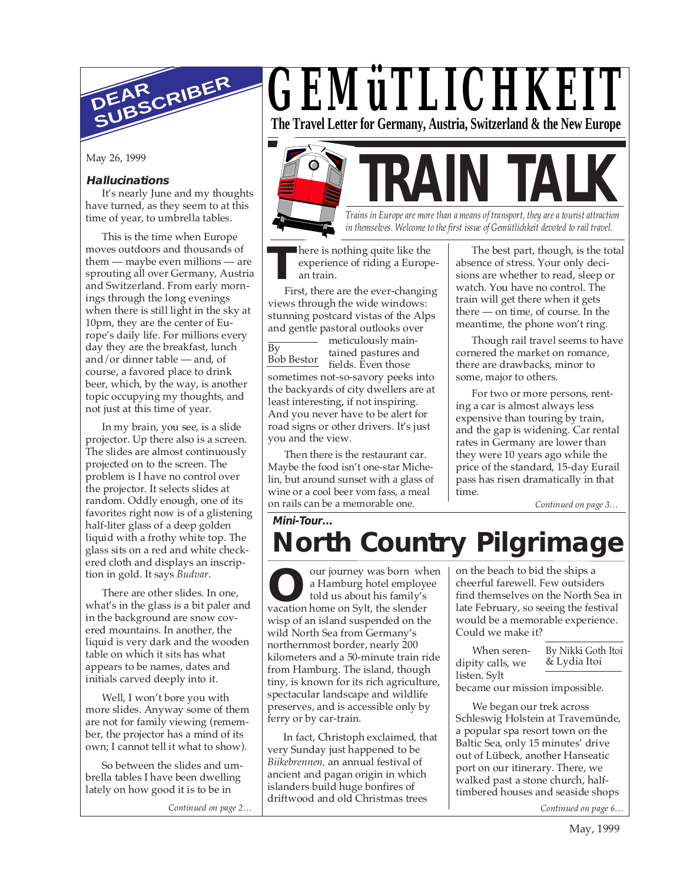

May 26, 1999

## **Hallucinations**

It's nearly June and my thoughts have turned, as they seem to at this time of year, to umbrella tables.

This is the time when Europe moves outdoors and thousands of them — maybe even millions — are sprouting all over Germany, Austria and Switzerland. From early mornings through the long evenings when there is still light in the sky at 10pm, they are the center of Europe's daily life. For millions every day they are the breakfast, lunch and/or dinner table — and, of course, a favored place to drink beer, which, by the way, is another topic occupying my thoughts, and not just at this time of year.

In my brain, you see, is a slide projector. Up there also is a screen. The slides are almost continuously projected on to the screen. The problem is I have no control over the projector. It selects slides at random. Oddly enough, one of its favorites right now is of a glistening half-liter glass of a deep golden liquid with a frothy white top. The glass sits on a red and white checkered cloth and displays an inscription in gold. It says *Budvar*.

There are other slides. In one, what's in the glass is a bit paler and in the background are snow covered mountains. In another, the liquid is very dark and the wooden table on which it sits has what appears to be names, dates and initials carved deeply into it.

Well, I won't bore you with more slides. Anyway some of them are not for family viewing (remember, the projector has a mind of its own; I cannot tell it what to show).

So between the slides and umbrella tables I have been dwelling lately on how good it is to be in

*Continued on page 2…*

*GEMüTLICHKEIT* **The Travel Letter for Germany, Austria, Switzerland & the New Europe**

**TRAIN TALK** *Trains in Europe are more than a means of transport, they are a tourist attraction in themselves. Welcome to the first issue of Gemütlichkeit devoted to rail travel.*

**T** here is nothing quite like the experience of riding a European train.

First, there are the ever-changing views through the wide windows: stunning postcard vistas of the Alps and gentle pastoral outlooks over

 $\overline{Bv}$ Bob Bestor - meticulously maintained pastures and fields. Even those sometimes not-so-savory peeks into the backyards of city dwellers are at least interesting, if not inspiring. And you never have to be alert for road signs or other drivers. It's just you and the view.

Then there is the restaurant car. Maybe the food isn't one-star Michelin, but around sunset with a glass of wine or a cool beer vom fass, a meal on rails can be a memorable one.

The best part, though, is the total absence of stress. Your only decisions are whether to read, sleep or watch. You have no control. The train will get there when it gets there — on time, of course. In the meantime, the phone won't ring.

Though rail travel seems to have cornered the market on romance, there are drawbacks, minor to some, major to others.

For two or more persons, renting a car is almost always less expensive than touring by train, and the gap is widening. Car rental rates in Germany are lower than they were 10 years ago while the price of the standard, 15-day Eurail pass has risen dramatically in that time.

*Continued on page 3…*

## **Mini-Tour... North Country Pilgrimage**

our journey was born when a Hamburg hotel employee told us about his family's vacation home on Sylt, the slender **O** wisp of an island suspended on the wild North Sea from Germany's northernmost border, nearly 200 kilometers and a 50-minute train ride from Hamburg. The island, though tiny, is known for its rich agriculture, spectacular landscape and wildlife preserves, and is accessible only by ferry or by car-train.

In fact, Christoph exclaimed, that very Sunday just happened to be *Biikebrennen,* an annual festival of ancient and pagan origin in which islanders build huge bonfires of driftwood and old Christmas trees

on the beach to bid the ships a cheerful farewell. Few outsiders find themselves on the North Sea in late February, so seeing the festival would be a memorable experience. Could we make it?

When serendipity calls, we listen. Sylt By Nikki Goth Itoi & Lydia Itoi

became our mission impossible.

We began our trek across Schleswig Holstein at Travemünde, a popular spa resort town on the Baltic Sea, only 15 minutes' drive out of Lübeck, another Hanseatic port on our itinerary. There, we walked past a stone church, halftimbered houses and seaside shops

*Continued on page 6…*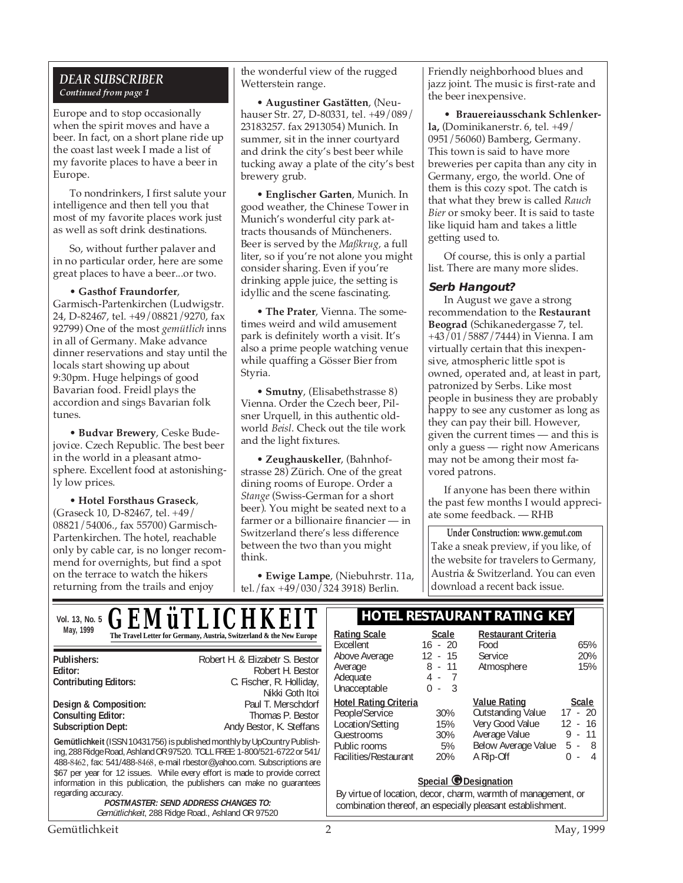## *DEAR SUBSCRIBER Continued from page 1*

Europe and to stop occasionally when the spirit moves and have a beer. In fact, on a short plane ride up the coast last week I made a list of my favorite places to have a beer in Europe.

To nondrinkers, I first salute your intelligence and then tell you that most of my favorite places work just as well as soft drink destinations.

So, without further palaver and in no particular order, here are some great places to have a beer...or two.

• **Gasthof Fraundorfer**, Garmisch-Partenkirchen (Ludwigstr. 24, D-82467, tel. +49/08821/9270, fax 92799) One of the most *gemütlich* inns in all of Germany. Make advance dinner reservations and stay until the locals start showing up about 9:30pm. Huge helpings of good Bavarian food. Freidl plays the accordion and sings Bavarian folk tunes.

• **Budvar Brewery**, Ceske Budejovice. Czech Republic. The best beer in the world in a pleasant atmosphere. Excellent food at astonishingly low prices.

• **Hotel Forsthaus Graseck**, (Graseck 10, D-82467, tel. +49/ 08821/54006., fax 55700) Garmisch-Partenkirchen. The hotel, reachable only by cable car, is no longer recommend for overnights, but find a spot on the terrace to watch the hikers returning from the trails and enjoy

the wonderful view of the rugged Wetterstein range.

• **Augustiner Gastätten**, (Neuhauser Str. 27, D-80331, tel. +49/089/ 23183257. fax 2913054) Munich. In summer, sit in the inner courtyard and drink the city's best beer while tucking away a plate of the city's best brewery grub.

• **Englischer Garten**, Munich. In good weather, the Chinese Tower in Munich's wonderful city park attracts thousands of Müncheners. Beer is served by the *Maßkrug,* a full liter, so if you're not alone you might consider sharing. Even if you're drinking apple juice, the setting is idyllic and the scene fascinating.

• **The Prater**, Vienna. The sometimes weird and wild amusement park is definitely worth a visit. It's also a prime people watching venue while quaffing a Gösser Bier from Styria.

• **Smutny**, (Elisabethstrasse 8) Vienna. Order the Czech beer, Pilsner Urquell, in this authentic oldworld *Beisl*. Check out the tile work and the light fixtures.

• **Zeughauskeller**, (Bahnhofstrasse 28) Zürich. One of the great dining rooms of Europe. Order a *Stange* (Swiss-German for a short beer). You might be seated next to a farmer or a billionaire financier — in Switzerland there's less difference between the two than you might think.

• **Ewige Lampe**, (Niebuhrstr. 11a, tel./fax +49/030/324 3918) Berlin.

Friendly neighborhood blues and jazz joint. The music is first-rate and the beer inexpensive.

• **Brauereiausschank Schlenkerla,** (Dominikanerstr. 6, tel. +49/ 0951/56060) Bamberg, Germany. This town is said to have more breweries per capita than any city in Germany, ergo, the world. One of them is this cozy spot. The catch is that what they brew is called *Rauch Bier* or smoky beer. It is said to taste like liquid ham and takes a little getting used to.

Of course, this is only a partial list. There are many more slides.

## **Serb Hangout?**

In August we gave a strong recommendation to the **Restaurant Beograd** (Schikanedergasse 7, tel. +43/01/5887/7444) in Vienna. I am virtually certain that this inexpensive, atmospheric little spot is owned, operated and, at least in part, patronized by Serbs. Like most people in business they are probably happy to see any customer as long as they can pay their bill. However, given the current times — and this is only a guess — right now Americans may not be among their most favored patrons.

If anyone has been there within the past few months I would appreciate some feedback. — RHB

**Under Construction: www.gemut.com** Take a sneak preview, if you like, of the website for travelers to Germany, Austria & Switzerland. You can even download a recent back issue.

| <b>GEMÜTLICHKEIT</b><br>Vol. 13, No. 5                                                                 | <b>HOTEL RESTAURANT RATING KEY</b>                                                                                                                                                                                                                                                                                                                                                                                                                             |                                                                                                                           |                                                        |                                                                                                                                                                                                                          |                                                                                   |
|--------------------------------------------------------------------------------------------------------|----------------------------------------------------------------------------------------------------------------------------------------------------------------------------------------------------------------------------------------------------------------------------------------------------------------------------------------------------------------------------------------------------------------------------------------------------------------|---------------------------------------------------------------------------------------------------------------------------|--------------------------------------------------------|--------------------------------------------------------------------------------------------------------------------------------------------------------------------------------------------------------------------------|-----------------------------------------------------------------------------------|
| May, 1999                                                                                              | The Travel Letter for Germany, Austria, Switzerland & the New Europe                                                                                                                                                                                                                                                                                                                                                                                           | <b>Rating Scale</b><br>Excellent                                                                                          | <b>Scale</b><br>$16 - 20$                              | <b>Restaurant Criteria</b><br>Food                                                                                                                                                                                       | 65%                                                                               |
| Publishers:<br>Editor:<br><b>Contributing Editors:</b>                                                 | Robert H. & Elizabetr S. Bestor<br>Robert H. Bestor<br>C. Fischer, R. Holliday,<br>Nikki Goth Itoi                                                                                                                                                                                                                                                                                                                                                             | Above Average<br>Average<br>Adequate<br>Unacceptable                                                                      | 12<br>$-15$<br>8<br>$-11$<br>4 -<br>0<br>- 3<br>$\sim$ | <b>Service</b><br>Atmosphere                                                                                                                                                                                             | 20%<br>15%                                                                        |
| Design & Composition:<br><b>Consulting Editor:</b><br><b>Subscription Dept:</b><br>regarding accuracy. | Paul T. Merschdorf<br>Thomas P. Bestor<br>Andy Bestor, K. Steffans<br>Gemütlichkeit (ISSN 10431756) is published monthly by UpCountry Publish-<br>ing, 288 Ridge Road, Ashland OR 97520. TOLL FREE: 1-800/521-6722 or 541/<br>488-8462, fax: 541/488-8468, e-mail rbestor@yahoo.com. Subscriptions are<br>\$67 per year for 12 issues. While every effort is made to provide correct<br>information in this publication, the publishers can make no quarantees | <b>Hotel Rating Criteria</b><br>People/Service<br>Location/Setting<br>Guestrooms<br>Public rooms<br>Facilities/Restaurant | 30%<br>15%<br>30%<br>5%<br>20%                         | <b>Value Rating</b><br><b>Outstanding Value</b><br>Very Good Value<br>Average Value<br>Below Average Value<br>A Rip-Off<br>Special <i>O</i> Designation<br>By virtue of location, decor, charm, warmth of management, or | <b>Scale</b><br>$17 - 20$<br>$12 - 16$<br>$9 - 11$<br>$5 - 8$<br>$\Omega$<br>$-4$ |
|                                                                                                        | <b>POSTMASTER: SEND ADDRESS CHANGES TO:</b><br>Gemütlichkeit, 288 Ridge Road., Ashland OR 97520                                                                                                                                                                                                                                                                                                                                                                | combination thereof, an especially pleasant establishment.                                                                |                                                        |                                                                                                                                                                                                                          |                                                                                   |

Gemütlichkeit 2 May, 1999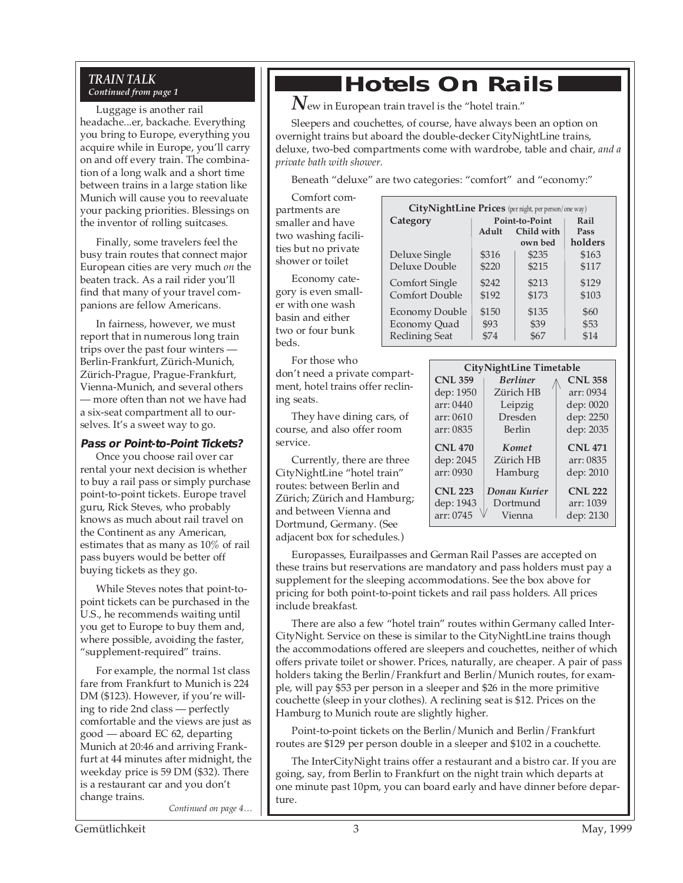# *TRAIN TALK*

Luggage is another rail headache...er, backache. Everything you bring to Europe, everything you acquire while in Europe, you'll carry on and off every train. The combination of a long walk and a short time between trains in a large station like Munich will cause you to reevaluate your packing priorities. Blessings on the inventor of rolling suitcases.

Finally, some travelers feel the busy train routes that connect major European cities are very much *on* the beaten track. As a rail rider you'll find that many of your travel companions are fellow Americans.

In fairness, however, we must report that in numerous long train trips over the past four winters — Berlin-Frankfurt, Zürich-Munich, Zürich-Prague, Prague-Frankfurt, Vienna-Munich, and several others — more often than not we have had a six-seat compartment all to ourselves. It's a sweet way to go.

## **Pass or Point-to-Point Tickets?**

Once you choose rail over car rental your next decision is whether to buy a rail pass or simply purchase point-to-point tickets. Europe travel guru, Rick Steves, who probably knows as much about rail travel on the Continent as any American, estimates that as many as 10% of rail pass buyers would be better off buying tickets as they go.

While Steves notes that point-topoint tickets can be purchased in the U.S., he recommends waiting until you get to Europe to buy them and, where possible, avoiding the faster, "supplement-required" trains.

For example, the normal 1st class fare from Frankfurt to Munich is 224 DM (\$123). However, if you're willing to ride 2nd class — perfectly comfortable and the views are just as good — aboard EC 62, departing Munich at 20:46 and arriving Frankfurt at 44 minutes after midnight, the weekday price is 59 DM (\$32). There is a restaurant car and you don't change trains.

*Continued on page 4…*

## **Continued From Page 1 Hotels On Rails**

 $\bm{N}$ ew in European train travel is the "hotel train."

Sleepers and couchettes, of course, have always been an option on overnight trains but aboard the double-decker CityNightLine trains, deluxe, two-bed compartments come with wardrobe, table and chair, *and a private bath with shower.*

Beneath "deluxe" are two categories: "comfort" and "economy:"

Comfort compartments are smaller and have two washing facilities but no private shower or toilet

Economy category is even smaller with one wash basin and either two or four bunk beds.

| City NightLine Prices (per night, per person/one way) |                            |         |         |  |
|-------------------------------------------------------|----------------------------|---------|---------|--|
| Category                                              | Point-to-Point             |         | Rail    |  |
|                                                       | Child with<br>$A \, du$ lt |         | Pass    |  |
|                                                       |                            | own bed | holders |  |
| Deluxe Single                                         | \$316                      | \$235   | \$163   |  |
| Deluxe Double                                         | \$220                      | \$215   | \$117   |  |
| <b>Comfort Single</b>                                 | \$242                      | \$213   | \$129   |  |
| Comfort Double                                        | \$192                      | \$173   | \$103   |  |
| <b>Economy Double</b>                                 | \$150                      | \$135   | \$60    |  |
| Economy Quad                                          | \$93                       | \$39    | \$53    |  |
| <b>Reclining Seat</b>                                 | \$74                       | \$67    | \$14    |  |

| For those who                    |
|----------------------------------|
| don't need a private compart-    |
| ment, hotel trains offer reclin- |
| ing seats.                       |

They have dining cars, of course, and also offer room service.

Currently, there are three CityNightLine "hotel train" routes: between Berlin and Zürich; Zürich and Hamburg; and between Vienna and Dortmund, Germany. (See adjacent box for schedules.)

| <b>CityNightLine Timetable</b>     |                                          |  |  |
|------------------------------------|------------------------------------------|--|--|
| <b>Berliner</b>                    | <b>CNL 358</b>                           |  |  |
| Zürich HB                          | arr: 0934                                |  |  |
| Leipzig                            | dep: 0020                                |  |  |
| Dresden                            | dep: 2250                                |  |  |
| Berlin                             | dep: 2035                                |  |  |
| Komet                              | <b>CNL 471</b>                           |  |  |
| Zürich HB                          | arr: 0835                                |  |  |
| Hamburg                            | dep: 2010                                |  |  |
| Donau Kurier<br>Dortmund<br>Vienna | <b>CNL 222</b><br>arr: 1039<br>dep: 2130 |  |  |
|                                    |                                          |  |  |

Europasses, Eurailpasses and German Rail Passes are accepted on these trains but reservations are mandatory and pass holders must pay a supplement for the sleeping accommodations. See the box above for pricing for both point-to-point tickets and rail pass holders. All prices include breakfast.

There are also a few "hotel train" routes within Germany called Inter-CityNight. Service on these is similar to the CityNightLine trains though the accommodations offered are sleepers and couchettes, neither of which offers private toilet or shower. Prices, naturally, are cheaper. A pair of pass holders taking the Berlin/Frankfurt and Berlin/Munich routes, for example, will pay \$53 per person in a sleeper and \$26 in the more primitive couchette (sleep in your clothes). A reclining seat is \$12. Prices on the Hamburg to Munich route are slightly higher.

Point-to-point tickets on the Berlin/Munich and Berlin/Frankfurt routes are \$129 per person double in a sleeper and \$102 in a couchette.

The InterCityNight trains offer a restaurant and a bistro car. If you are going, say, from Berlin to Frankfurt on the night train which departs at one minute past 10pm, you can board early and have dinner before departure.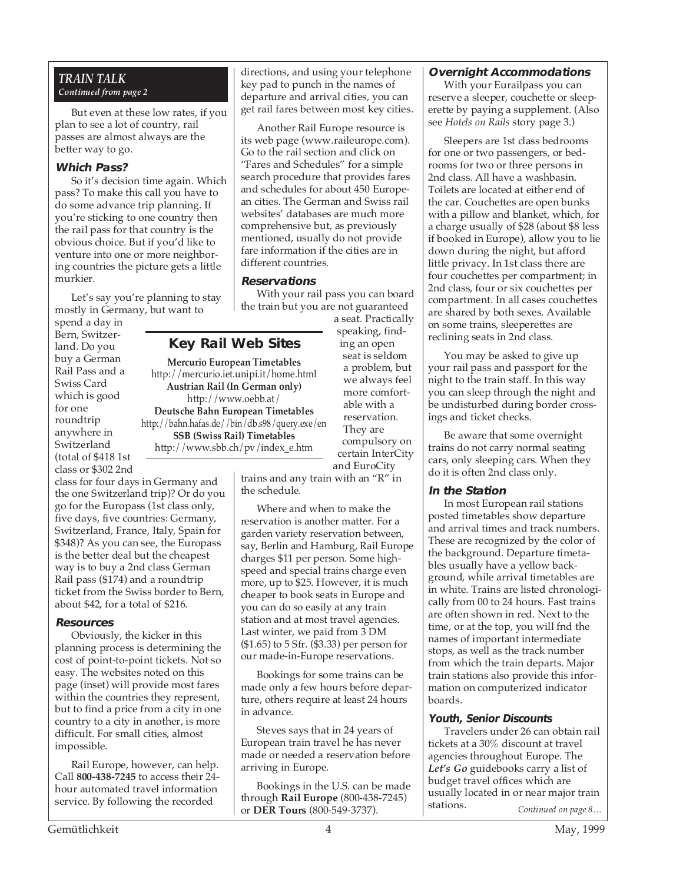## *TRAIN TALK Continued from page 2*

But even at these low rates, if you plan to see a lot of country, rail passes are almost always are the better way to go.

### **Which Pass?**

So it's decision time again. Which pass? To make this call you have to do some advance trip planning. If you're sticking to one country then the rail pass for that country is the obvious choice. But if you'd like to venture into one or more neighboring countries the picture gets a little murkier.

Let's say you're planning to stay mostly in Germany, but want to

spend a day in Bern, Switzerland. Do you buy a German Rail Pass and a Swiss Card which is good for one roundtrip anywhere in Switzerland (total of \$418 1st class or \$302 2nd

class for four days in Germany and the one Switzerland trip)? Or do you go for the Europass (1st class only, five days, five countries: Germany, Switzerland, France, Italy, Spain for \$348)? As you can see, the Europass is the better deal but the cheapest way is to buy a 2nd class German Rail pass (\$174) and a roundtrip ticket from the Swiss border to Bern, about \$42, for a total of \$216.

#### **Resources**

Obviously, the kicker in this planning process is determining the cost of point-to-point tickets. Not so easy. The websites noted on this page (inset) will provide most fares within the countries they represent, but to find a price from a city in one country to a city in another, is more difficult. For small cities, almost impossible.

Rail Europe, however, can help. Call **800-438-7245** to access their 24 hour automated travel information service. By following the recorded

directions, and using your telephone key pad to punch in the names of departure and arrival cities, you can get rail fares between most key cities.

Another Rail Europe resource is its web page (www.raileurope.com). Go to the rail section and click on "Fares and Schedules" for a simple search procedure that provides fares and schedules for about 450 European cities. The German and Swiss rail websites' databases are much more comprehensive but, as previously mentioned, usually do not provide fare information if the cities are in different countries.

## **Reservations**

**Key Rail Web Sites Mercurio European Timetables** http://mercurio.iet.unipi.it/home.html **Austrian Rail (In German only)** http://www.oebb.at/ **Deutsche Bahn European Timetables** http://bahn.hafas.de//bin/db.s98/query.exe/en **SSB (Swiss Rail) Timetables** http://www.sbb.ch/pv/index\_e.htm

With your rail pass you can board the train but you are not guaranteed

a seat. Practically speaking, finding an open seat is seldom a problem, but we always feel more comfortable with a reservation. They are compulsory on

certain InterCity and EuroCity

trains and any train with an "R" in the schedule.

Where and when to make the reservation is another matter. For a garden variety reservation between, say, Berlin and Hamburg, Rail Europe charges \$11 per person. Some highspeed and special trains charge even more, up to \$25. However, it is much cheaper to book seats in Europe and you can do so easily at any train station and at most travel agencies. Last winter, we paid from 3 DM (\$1.65) to 5 Sfr. (\$3.33) per person for our made-in-Europe reservations.

Bookings for some trains can be made only a few hours before departure, others require at least 24 hours in advance.

Steves says that in 24 years of European train travel he has never made or needed a reservation before arriving in Europe.

Bookings in the U.S. can be made through **Rail Europe** (800-438-7245) or **DER Tours** (800-549-3737).

### **Overnight Accommodations**

With your Eurailpass you can reserve a sleeper, couchette or sleeperette by paying a supplement. (Also see *Hotels on Rails* story page 3.)

Sleepers are 1st class bedrooms for one or two passengers, or bedrooms for two or three persons in 2nd class. All have a washbasin. Toilets are located at either end of the car. Couchettes are open bunks with a pillow and blanket, which, for a charge usually of \$28 (about \$8 less if booked in Europe), allow you to lie down during the night, but afford little privacy. In 1st class there are four couchettes per compartment; in 2nd class, four or six couchettes per compartment. In all cases couchettes are shared by both sexes. Available on some trains, sleeperettes are reclining seats in 2nd class.

You may be asked to give up your rail pass and passport for the night to the train staff. In this way you can sleep through the night and be undisturbed during border crossings and ticket checks.

Be aware that some overnight trains do not carry normal seating cars, only sleeping cars. When they do it is often 2nd class only.

## **In the Station**

In most European rail stations posted timetables show departure and arrival times and track numbers. These are recognized by the color of the background. Departure timetables usually have a yellow background, while arrival timetables are in white. Trains are listed chronologically from 00 to 24 hours. Fast trains are often shown in red. Next to the time, or at the top, you will fnd the names of important intermediate stops, as well as the track number from which the train departs. Major train stations also provide this information on computerized indicator boards.

## **Youth, Senior Discounts**

Travelers under 26 can obtain rail tickets at a 30% discount at travel agencies throughout Europe. The *Let's Go* guidebooks carry a list of budget travel offices which are usually located in or near major train stations. *Continued on page 8…*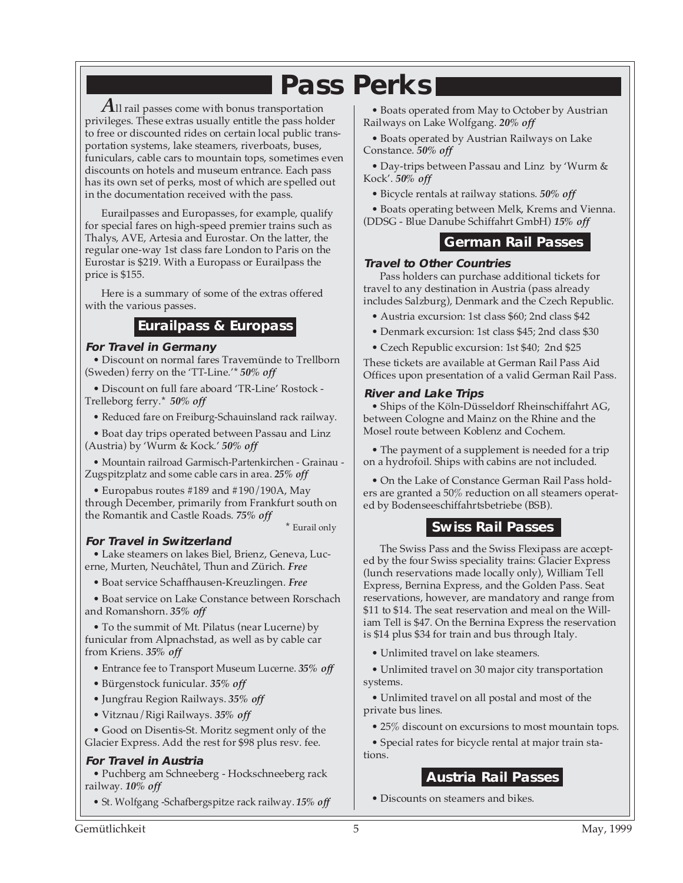# **Pass Perks**

*A*ll rail passes come with bonus transportation privileges. These extras usually entitle the pass holder to free or discounted rides on certain local public transportation systems, lake steamers, riverboats, buses, funiculars, cable cars to mountain tops, sometimes even discounts on hotels and museum entrance. Each pass has its own set of perks, most of which are spelled out in the documentation received with the pass.

Eurailpasses and Europasses, for example, qualify for special fares on high-speed premier trains such as Thalys, AVE, Artesia and Eurostar. On the latter, the regular one-way 1st class fare London to Paris on the Eurostar is \$219. With a Europass or Eurailpass the price is \$155.

Here is a summary of some of the extras offered with the various passes.

## **Eurailpass & Europass**

## **For Travel in Germany**

• Discount on normal fares Travemünde to Trellborn (Sweden) ferry on the 'TT-Line.'\* *50% off*

• Discount on full fare aboard 'TR-Line' Rostock - Trelleborg ferry.\* *50% off*

• Reduced fare on Freiburg-Schauinsland rack railway.

• Boat day trips operated between Passau and Linz (Austria) by 'Wurm & Kock.' *50% off*

• Mountain railroad Garmisch-Partenkirchen - Grainau - Zugspitzplatz and some cable cars in area. *25% off*

• Europabus routes #189 and #190/190A, May through December, primarily from Frankfurt south on the Romantik and Castle Roads. *75% off*

\* Eurail only

## **For Travel in Switzerland**

• Lake steamers on lakes Biel, Brienz, Geneva, Lucerne, Murten, Neuchâtel, Thun and Zürich. *Free*

• Boat service Schaffhausen-Kreuzlingen. *Free*

• Boat service on Lake Constance between Rorschach and Romanshorn. *35% off*

• To the summit of Mt. Pilatus (near Lucerne) by funicular from Alpnachstad, as well as by cable car from Kriens. *35% off*

• Entrance fee to Transport Museum Lucerne. *35% off*

- Bürgenstock funicular. *35% off*
- Jungfrau Region Railways. *35% off*
- Vitznau/Rigi Railways. *35% off*

• Good on Disentis-St. Moritz segment only of the Glacier Express. Add the rest for \$98 plus resv. fee.

## **For Travel in Austria**

• Puchberg am Schneeberg - Hockschneeberg rack railway. *10% off*

• St. Wolfgang -Schafbergspitze rack railway. *15% off*

• Boats operated from May to October by Austrian Railways on Lake Wolfgang. *20% off*

• Boats operated by Austrian Railways on Lake Constance. *50% off*

• Day-trips between Passau and Linz by 'Wurm & Kock'. *50% off*

• Bicycle rentals at railway stations. *50% off*

• Boats operating between Melk, Krems and Vienna. (DDSG - Blue Danube Schiffahrt GmbH) *15% off*

## **German Rail Passes**

### **Travel to Other Countries**

Pass holders can purchase additional tickets for travel to any destination in Austria (pass already includes Salzburg), Denmark and the Czech Republic.

- Austria excursion: 1st class \$60; 2nd class \$42
- Denmark excursion: 1st class \$45; 2nd class \$30
- Czech Republic excursion: 1st \$40; 2nd \$25

These tickets are available at German Rail Pass Aid Offices upon presentation of a valid German Rail Pass.

### **River and Lake Trips**

• Ships of the Köln-Düsseldorf Rheinschiffahrt AG, between Cologne and Mainz on the Rhine and the Mosel route between Koblenz and Cochem.

• The payment of a supplement is needed for a trip on a hydrofoil. Ships with cabins are not included.

• On the Lake of Constance German Rail Pass holders are granted a 50% reduction on all steamers operated by Bodenseeschiffahrtsbetriebe (BSB).

## **Swiss Rail Passes**

The Swiss Pass and the Swiss Flexipass are accepted by the four Swiss speciality trains: Glacier Express (lunch reservations made locally only), William Tell Express, Bernina Express, and the Golden Pass. Seat reservations, however, are mandatory and range from \$11 to \$14. The seat reservation and meal on the William Tell is \$47. On the Bernina Express the reservation is \$14 plus \$34 for train and bus through Italy.

• Unlimited travel on lake steamers.

• Unlimited travel on 30 major city transportation systems.

• Unlimited travel on all postal and most of the private bus lines.

• 25% discount on excursions to most mountain tops.

• Special rates for bicycle rental at major train stations.

## **Austria Rail Passes**

• Discounts on steamers and bikes.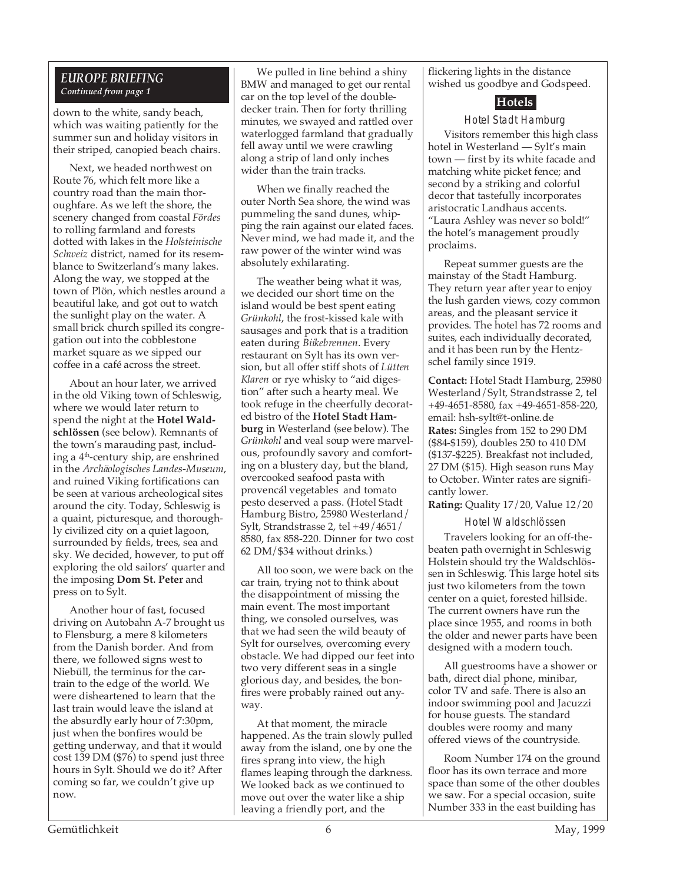## *EUROPE BRIEFING Continued from page 1*

down to the white, sandy beach, which was waiting patiently for the summer sun and holiday visitors in their striped, canopied beach chairs.

Next, we headed northwest on Route 76, which felt more like a country road than the main thoroughfare. As we left the shore, the scenery changed from coastal *Fördes* to rolling farmland and forests dotted with lakes in the *Holsteinische Schweiz* district, named for its resemblance to Switzerland's many lakes. Along the way, we stopped at the town of Plön, which nestles around a beautiful lake, and got out to watch the sunlight play on the water. A small brick church spilled its congregation out into the cobblestone market square as we sipped our coffee in a café across the street.

About an hour later, we arrived in the old Viking town of Schleswig, where we would later return to spend the night at the **Hotel Waldschlössen** (see below). Remnants of the town's marauding past, including a 4th-century ship, are enshrined in the *Archäologisches Landes-Museum*, and ruined Viking fortifications can be seen at various archeological sites around the city. Today, Schleswig is a quaint, picturesque, and thoroughly civilized city on a quiet lagoon, surrounded by fields, trees, sea and sky. We decided, however, to put off exploring the old sailors' quarter and the imposing **Dom St. Peter** and press on to Sylt.

Another hour of fast, focused driving on Autobahn A-7 brought us to Flensburg, a mere 8 kilometers from the Danish border. And from there, we followed signs west to Niebüll, the terminus for the cartrain to the edge of the world. We were disheartened to learn that the last train would leave the island at the absurdly early hour of 7:30pm, just when the bonfires would be getting underway, and that it would cost 139 DM (\$76) to spend just three hours in Sylt. Should we do it? After coming so far, we couldn't give up now.

We pulled in line behind a shiny BMW and managed to get our rental car on the top level of the doubledecker train. Then for forty thrilling minutes, we swayed and rattled over waterlogged farmland that gradually fell away until we were crawling along a strip of land only inches wider than the train tracks.

When we finally reached the outer North Sea shore, the wind was pummeling the sand dunes, whipping the rain against our elated faces. Never mind, we had made it, and the raw power of the winter wind was absolutely exhilarating.

The weather being what it was, we decided our short time on the island would be best spent eating *Grünkohl*, the frost-kissed kale with sausages and pork that is a tradition eaten during *Biikebrennen*. Every restaurant on Sylt has its own version, but all offer stiff shots of *Lütten Klaren* or rye whisky to "aid digestion" after such a hearty meal. We took refuge in the cheerfully decorated bistro of the **Hotel Stadt Hamburg** in Westerland (see below). The *Grünkohl* and veal soup were marvelous, profoundly savory and comforting on a blustery day, but the bland, overcooked seafood pasta with provencál vegetables and tomato pesto deserved a pass. (Hotel Stadt Hamburg Bistro, 25980 Westerland/ Sylt, Strandstrasse 2, tel +49/4651/ 8580, fax 858-220. Dinner for two cost 62 DM/\$34 without drinks.)

All too soon, we were back on the car train, trying not to think about the disappointment of missing the main event. The most important thing, we consoled ourselves, was that we had seen the wild beauty of Sylt for ourselves, overcoming every obstacle. We had dipped our feet into two very different seas in a single glorious day, and besides, the bonfires were probably rained out anyway.

At that moment, the miracle happened. As the train slowly pulled away from the island, one by one the fires sprang into view, the high flames leaping through the darkness. We looked back as we continued to move out over the water like a ship leaving a friendly port, and the

flickering lights in the distance wished us goodbye and Godspeed.

## **Hotels**

Hotel Stadt Hamburg

Visitors remember this high class hotel in Westerland — Sylt's main town — first by its white facade and matching white picket fence; and second by a striking and colorful decor that tastefully incorporates aristocratic Landhaus accents. "Laura Ashley was never so bold!" the hotel's management proudly proclaims.

Repeat summer guests are the mainstay of the Stadt Hamburg. They return year after year to enjoy the lush garden views, cozy common areas, and the pleasant service it provides. The hotel has 72 rooms and suites, each individually decorated, and it has been run by the Hentzschel family since 1919.

**Contact:** Hotel Stadt Hamburg, 25980 Westerland/Sylt, Strandstrasse 2, tel +49-4651-8580, fax +49-4651-858-220, email: hsh-sylt@t-online.de **Rates:** Singles from 152 to 290 DM (\$84-\$159), doubles 250 to 410 DM (\$137-\$225). Breakfast not included, 27 DM (\$15). High season runs May to October. Winter rates are significantly lower.

**Rating:** Quality 17/20, Value 12/20

Hotel Waldschlössen

Travelers looking for an off-thebeaten path overnight in Schleswig Holstein should try the Waldschlössen in Schleswig. This large hotel sits just two kilometers from the town center on a quiet, forested hillside. The current owners have run the place since 1955, and rooms in both the older and newer parts have been designed with a modern touch.

All guestrooms have a shower or bath, direct dial phone, minibar, color TV and safe. There is also an indoor swimming pool and Jacuzzi for house guests. The standard doubles were roomy and many offered views of the countryside.

Room Number 174 on the ground floor has its own terrace and more space than some of the other doubles we saw. For a special occasion, suite Number 333 in the east building has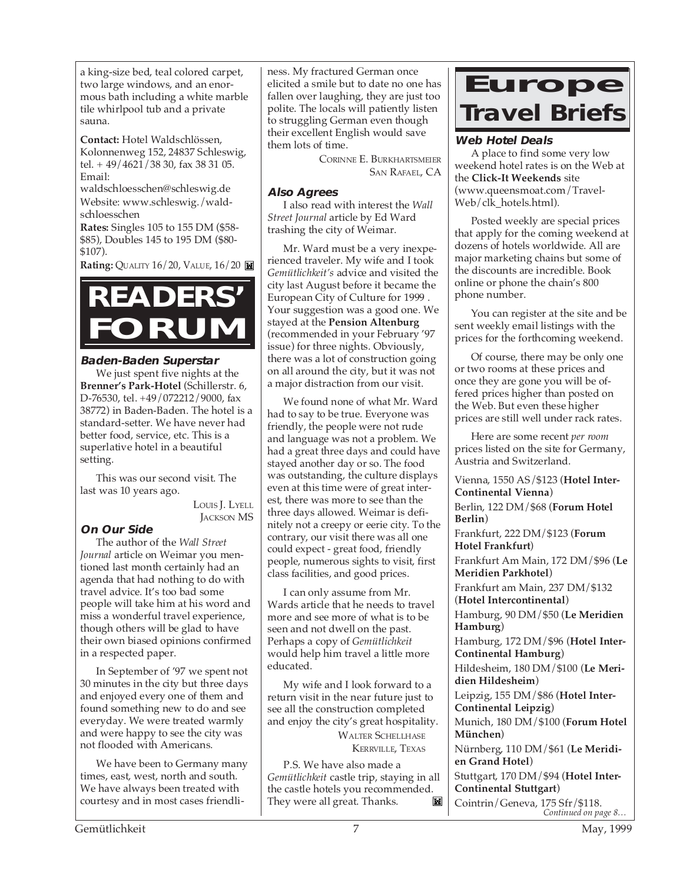a king-size bed, teal colored carpet, two large windows, and an enormous bath including a white marble tile whirlpool tub and a private sauna.

**Contact:** Hotel Waldschlössen, Kolonnenweg 152, 24837 Schleswig, tel. + 49/4621/38 30, fax 38 31 05. Email:

waldschloesschen@schleswig.de Website: www.schleswig./waldschloesschen

**Rates:** Singles 105 to 155 DM (\$58- \$85), Doubles 145 to 195 DM (\$80- \$107).

**Rating:** QUALITY 16/20, VALUE, 16/20



### **Baden-Baden Superstar**

We just spent five nights at the **Brenner's Park-Hotel** (Schillerstr. 6, D-76530, tel. +49/072212/9000, fax 38772) in Baden-Baden. The hotel is a standard-setter. We have never had better food, service, etc. This is a superlative hotel in a beautiful setting.

This was our second visit. The last was 10 years ago.

> LOUIS J. LYELL JACKSON MS

## **On Our Side**

The author of the *Wall Street Journal* article on Weimar you mentioned last month certainly had an agenda that had nothing to do with travel advice. It's too bad some people will take him at his word and miss a wonderful travel experience, though others will be glad to have their own biased opinions confirmed in a respected paper.

In September of '97 we spent not 30 minutes in the city but three days and enjoyed every one of them and found something new to do and see everyday. We were treated warmly and were happy to see the city was not flooded with Americans.

We have been to Germany many times, east, west, north and south. We have always been treated with courtesy and in most cases friendliness. My fractured German once elicited a smile but to date no one has fallen over laughing, they are just too polite. The locals will patiently listen to struggling German even though their excellent English would save them lots of time.

> CORINNE E. BURKHARTSMEIER SAN RAFAEL, CA

### **Also Agrees**

I also read with interest the *Wall Street Journal* article by Ed Ward trashing the city of Weimar.

Mr. Ward must be a very inexperienced traveler. My wife and I took *Gemütlichkeit's* advice and visited the city last August before it became the European City of Culture for 1999 . Your suggestion was a good one. We stayed at the **Pension Altenburg** (recommended in your February '97 issue) for three nights. Obviously, there was a lot of construction going on all around the city, but it was not a major distraction from our visit.

We found none of what Mr. Ward had to say to be true. Everyone was friendly, the people were not rude and language was not a problem. We had a great three days and could have stayed another day or so. The food was outstanding, the culture displays even at this time were of great interest, there was more to see than the three days allowed. Weimar is definitely not a creepy or eerie city. To the contrary, our visit there was all one could expect - great food, friendly people, numerous sights to visit, first class facilities, and good prices.

I can only assume from Mr. Wards article that he needs to travel more and see more of what is to be seen and not dwell on the past. Perhaps a copy of *Gemütlichkeit* would help him travel a little more educated.

My wife and I look forward to a return visit in the near future just to see all the construction completed and enjoy the city's great hospitality. WALTER SCHELLHASE KERRVILLE, TEXAS

P.S. We have also made a *Gemütlichkeit* castle trip, staying in all the castle hotels you recommended. They were all great. Thanks.  $\mathbb{M}$ 



## **Web Hotel Deals**

A place to find some very low weekend hotel rates is on the Web at the **Click-It Weekends** site (www.queensmoat.com/Travel-Web/clk\_hotels.html).

Posted weekly are special prices that apply for the coming weekend at dozens of hotels worldwide. All are major marketing chains but some of the discounts are incredible. Book online or phone the chain's 800 phone number.

You can register at the site and be sent weekly email listings with the prices for the forthcoming weekend.

Of course, there may be only one or two rooms at these prices and once they are gone you will be offered prices higher than posted on the Web. But even these higher prices are still well under rack rates.

Here are some recent *per room* prices listed on the site for Germany, Austria and Switzerland.

Vienna, 1550 AS/\$123 (**Hotel Inter-Continental Vienna**) Berlin, 122 DM/\$68 (**Forum Hotel Berlin**) Frankfurt, 222 DM/\$123 (**Forum**

**Hotel Frankfurt**)

Frankfurt Am Main, 172 DM/\$96 (**Le Meridien Parkhotel**)

Frankfurt am Main, 237 DM/\$132 (**Hotel Intercontinental**)

Hamburg, 90 DM/\$50 (**Le Meridien Hamburg**)

Hamburg, 172 DM/\$96 (**Hotel Inter-Continental Hamburg**)

Hildesheim, 180 DM/\$100 (**Le Meridien Hildesheim**)

Leipzig, 155 DM/\$86 (**Hotel Inter-Continental Leipzig**)

Munich, 180 DM/\$100 (**Forum Hotel München**)

Nürnberg, 110 DM/\$61 (**Le Meridien Grand Hotel**)

Stuttgart, 170 DM/\$94 (**Hotel Inter-Continental Stuttgart**)

*Continued on page 8…* Cointrin/Geneva, 175 Sfr/\$118.